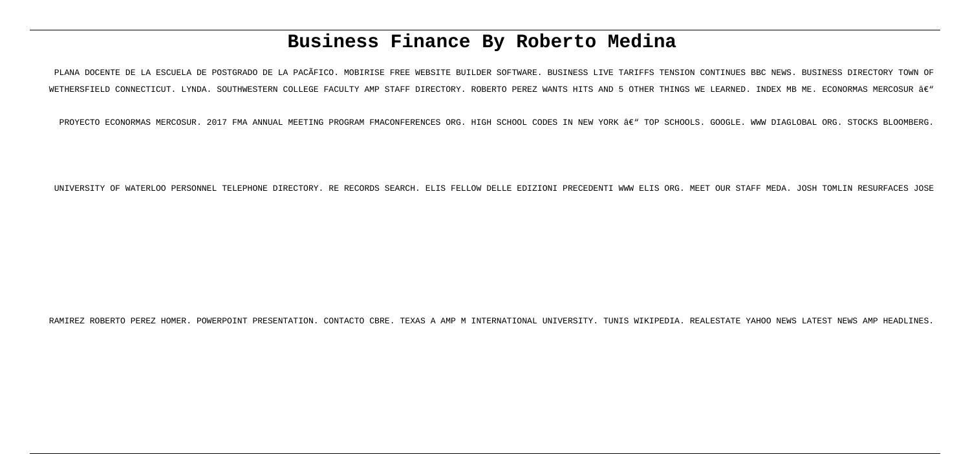# **Business Finance By Roberto Medina**

PLANA DOCENTE DE LA ESCUELA DE POSTGRADO DE LA PACÃFICO. MOBIRISE FREE WEBSITE BUILDER SOFTWARE. BUSINESS LIVE TARIFFS TENSION CONTINUES BBC NEWS. BUSINESS DIRECTORY TOWN OF WETHERSFIELD CONNECTICUT. LYNDA. SOUTHWESTERN COLLEGE FACULTY AMP STAFF DIRECTORY. ROBERTO PEREZ WANTS HITS AND 5 OTHER THINGS WE LEARNED. INDEX MB ME. ECONORMAS MERCOSUR â€"

PROYECTO ECONORMAS MERCOSUR. 2017 FMA ANNUAL MEETING PROGRAM FMACONFERENCES ORG. HIGH SCHOOL CODES IN NEW YORK – TOP SCHOOLS. GOOGLE. WWW DIAGLOBAL ORG. STOCKS BLOOMBERG.

UNIVERSITY OF WATERLOO PERSONNEL TELEPHONE DIRECTORY. RE RECORDS SEARCH. ELIS FELLOW DELLE EDIZIONI PRECEDENTI WWW ELIS ORG. MEET OUR STAFF MEDA. JOSH TOMLIN RESURFACES JOSE

RAMIREZ ROBERTO PEREZ HOMER. POWERPOINT PRESENTATION. CONTACTO CBRE. TEXAS A AMP M INTERNATIONAL UNIVERSITY. TUNIS WIKIPEDIA. REALESTATE YAHOO NEWS LATEST NEWS AMP HEADLINES.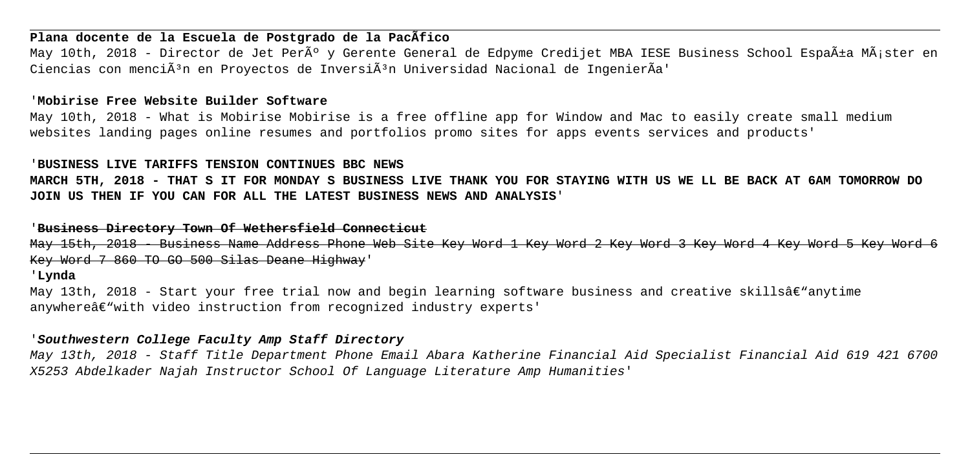# **Plana docente de la Escuela de Postgrado de la PacÃfico**

May 10th, 2018 - Director de Jet Perú y Gerente General de Edpyme Credijet MBA IESE Business School España MÃ;ster en Ciencias con menci $\tilde{A}^3$ n en Provectos de Inversi $\tilde{A}^3$ n Universidad Nacional de IngenierÃa'

# '**Mobirise Free Website Builder Software**

May 10th, 2018 - What is Mobirise Mobirise is a free offline app for Window and Mac to easily create small medium websites landing pages online resumes and portfolios promo sites for apps events services and products'

#### '**BUSINESS LIVE TARIFFS TENSION CONTINUES BBC NEWS**

**MARCH 5TH, 2018 - THAT S IT FOR MONDAY S BUSINESS LIVE THANK YOU FOR STAYING WITH US WE LL BE BACK AT 6AM TOMORROW DO JOIN US THEN IF YOU CAN FOR ALL THE LATEST BUSINESS NEWS AND ANALYSIS**'

# '**Business Directory Town Of Wethersfield Connecticut**

May 15th, 2018 - Business Name Address Phone Web Site Key Word 1 Key Word 2 Key Word 3 Key Word 4 Key Word 5 Key Word 6 Key Word 7 860 TO GO 500 Silas Deane Highway'

#### '**Lynda**

May 13th, 2018 - Start your free trial now and begin learning software business and creative skillsâ $\epsilon$ "anytime anywhere $\hat{\theta} \in \mathbb{N}$  with video instruction from recognized industry experts'

#### '**Southwestern College Faculty Amp Staff Directory**

May 13th, 2018 - Staff Title Department Phone Email Abara Katherine Financial Aid Specialist Financial Aid 619 421 6700 X5253 Abdelkader Najah Instructor School Of Language Literature Amp Humanities'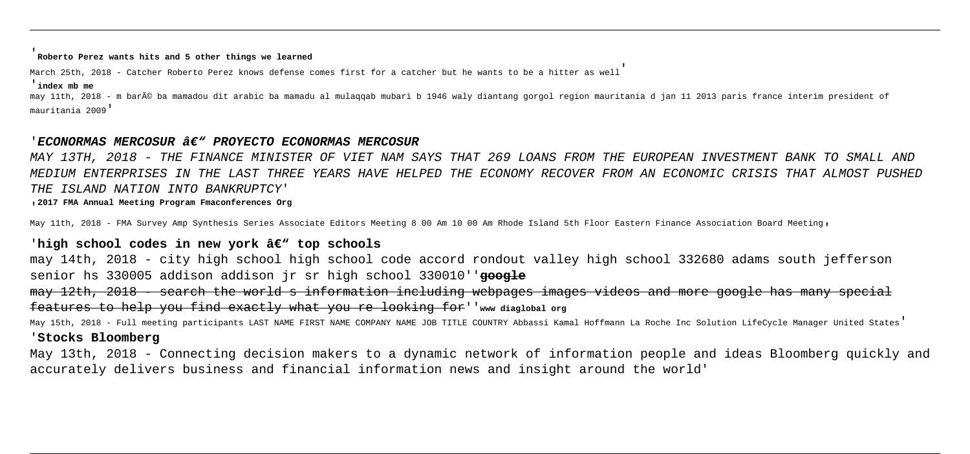#### '**Roberto Perez wants hits and 5 other things we learned**

March 25th, 2018 - Catcher Roberto Perez knows defense comes first for a catcher but he wants to be a hitter as well'

#### '**index mb me**

may 11th, 2018 - m baré ba mamadou dit arabic ba mamadu al mulaqqab mubari b 1946 waly diantang gorgol region mauritania d jan 11 2013 paris france interim president of mauritania 2009'

#### 'ECONORMAS MERCOSUR â€" PROYECTO ECONORMAS MERCOSUR

MAY 13TH, 2018 - THE FINANCE MINISTER OF VIET NAM SAYS THAT 269 LOANS FROM THE EUROPEAN INVESTMENT BANK TO SMALL AND MEDIUM ENTERPRISES IN THE LAST THREE YEARS HAVE HELPED THE ECONOMY RECOVER FROM AN ECONOMIC CRISIS THAT ALMOST PUSHED THE ISLAND NATION INTO BANKRUPTCY'

'**2017 FMA Annual Meeting Program Fmaconferences Org**

May 11th, 2018 - FMA Survey Amp Synthesis Series Associate Editors Meeting 8 00 Am 10 00 Am Rhode Island 5th Floor Eastern Finance Association Board Meeting,

## 'high school codes in new york â€" top schools

may 14th, 2018 - city high school high school code accord rondout valley high school 332680 adams south jefferson senior hs 330005 addison addison jr sr high school 330010''**google**

may 12th, 2018 - search the world s information including webpages images videos and more google has many special features to help you find exactly what you re looking for''**www diaglobal org**

May 15th, 2018 - Full meeting participants LAST NAME FIRST NAME COMPANY NAME JOB TITLE COUNTRY Abbassi Kamal Hoffmann La Roche Inc Solution LifeCycle Manager United States'

#### '**Stocks Bloomberg**

May 13th, 2018 - Connecting decision makers to a dynamic network of information people and ideas Bloomberg quickly and accurately delivers business and financial information news and insight around the world'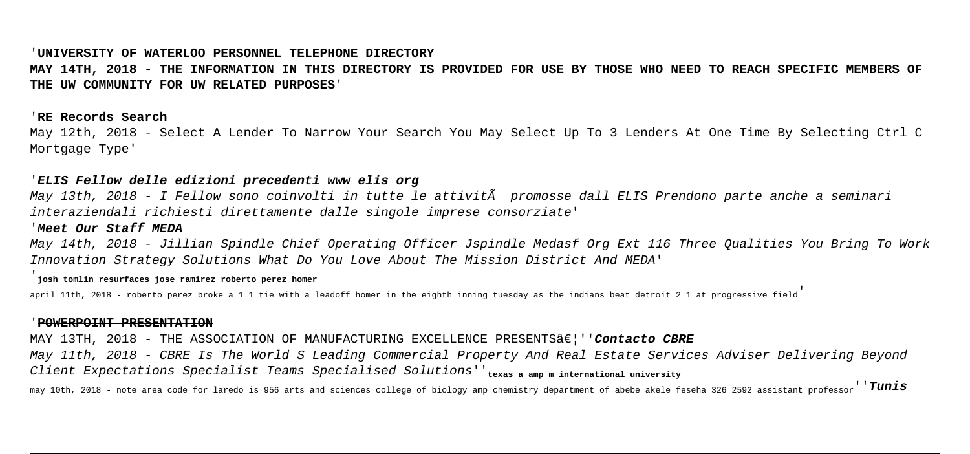#### '**UNIVERSITY OF WATERLOO PERSONNEL TELEPHONE DIRECTORY**

**MAY 14TH, 2018 - THE INFORMATION IN THIS DIRECTORY IS PROVIDED FOR USE BY THOSE WHO NEED TO REACH SPECIFIC MEMBERS OF THE UW COMMUNITY FOR UW RELATED PURPOSES**'

#### '**RE Records Search**

May 12th, 2018 - Select A Lender To Narrow Your Search You May Select Up To 3 Lenders At One Time By Selecting Ctrl C Mortgage Type'

### '**ELIS Fellow delle edizioni precedenti www elis org**

May 13th, 2018 - I Fellow sono coinvolti in tutte le attività promosse dall ELIS Prendono parte anche a seminari interaziendali richiesti direttamente dalle singole imprese consorziate'

#### '**Meet Our Staff MEDA**

May 14th, 2018 - Jillian Spindle Chief Operating Officer Jspindle Medasf Org Ext 116 Three Qualities You Bring To Work Innovation Strategy Solutions What Do You Love About The Mission District And MEDA'

#### '**josh tomlin resurfaces jose ramirez roberto perez homer**

april 11th, 2018 - roberto perez broke a 1 1 tie with a leadoff homer in the eighth inning tuesday as the indians beat detroit 2 1 at progressive field

#### '**POWERPOINT PRESENTATION**

MAY 13TH, 2018 - THE ASSOCIATION OF MANUFACTURING EXCELLENCE PRESENTS<sub>ae</sub>|''Contacto CBRE

May 11th, 2018 - CBRE Is The World S Leading Commercial Property And Real Estate Services Adviser Delivering Beyond Client Expectations Specialist Teams Specialised Solutions''**texas a amp m international university**

may 10th, 2018 - note area code for laredo is 956 arts and sciences college of biology amp chemistry department of abebe akele feseha 326 2592 assistant professor''**Tunis**